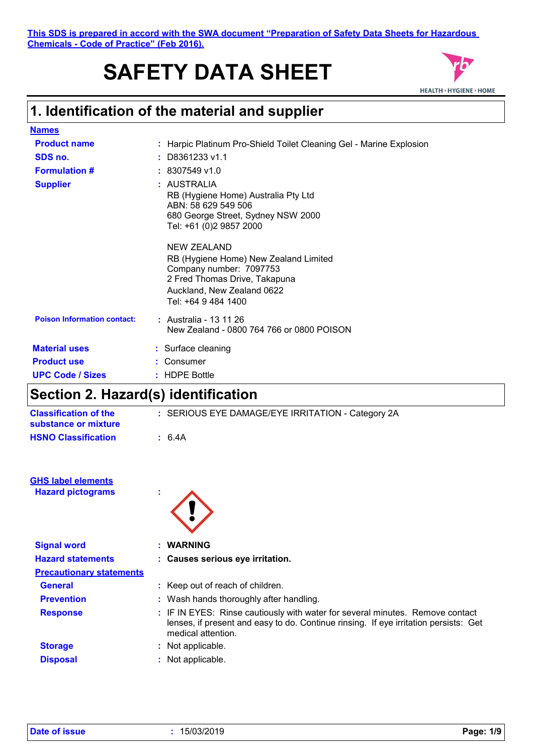**This SDS is prepared in accord with the SWA document "Preparation of Safety Data Sheets for Hazardous Chemicals - Code of Practice" (Feb 2016).**

# **SAFETY DATA SHEET**



## **1. Identification of the material and supplier**

| <b>Names</b>                       |                                                                                                                                                           |
|------------------------------------|-----------------------------------------------------------------------------------------------------------------------------------------------------------|
| <b>Product name</b>                | : Harpic Platinum Pro-Shield Toilet Cleaning Gel - Marine Explosion                                                                                       |
| SDS no.                            | $:$ D8361233 v1.1                                                                                                                                         |
| <b>Formulation #</b>               | $: 8307549$ v1.0                                                                                                                                          |
| <b>Supplier</b>                    | : AUSTRALIA<br>RB (Hygiene Home) Australia Pty Ltd<br>ABN: 58 629 549 506<br>680 George Street, Sydney NSW 2000<br>Tel: +61 (0)2 9857 2000<br>NEW ZEALAND |
|                                    | RB (Hygiene Home) New Zealand Limited<br>Company number: 7097753<br>2 Fred Thomas Drive, Takapuna<br>Auckland, New Zealand 0622<br>Tel: +64 9 484 1400    |
| <b>Poison Information contact:</b> | : Australia - 13 11 26<br>New Zealand - 0800 764 766 or 0800 POISON                                                                                       |
| <b>Material uses</b>               | : Surface cleaning                                                                                                                                        |
| <b>Product use</b>                 | : Consumer                                                                                                                                                |
| <b>UPC Code / Sizes</b>            | : HDPE Bottle                                                                                                                                             |

## **Section 2. Hazard(s) identification**

| <b>Classification of the</b><br>substance or mixture | : SERIOUS EYE DAMAGE/EYE IRRITATION - Category 2A |
|------------------------------------------------------|---------------------------------------------------|
| <b>HSNO Classification</b>                           | : 6.4A                                            |
|                                                      |                                                   |
|                                                      |                                                   |

| <b>GHS label elements</b> |  |
|---------------------------|--|
| <b>Hazard pictograms</b>  |  |

| Ω |  |
|---|--|
|   |  |

| <b>Signal word</b>              | : WARNING                                                                                                                                                                                   |  |
|---------------------------------|---------------------------------------------------------------------------------------------------------------------------------------------------------------------------------------------|--|
| <b>Hazard statements</b>        | : Causes serious eye irritation.                                                                                                                                                            |  |
| <b>Precautionary statements</b> |                                                                                                                                                                                             |  |
| <b>General</b>                  | : Keep out of reach of children.                                                                                                                                                            |  |
| <b>Prevention</b>               | : Wash hands thoroughly after handling.                                                                                                                                                     |  |
| <b>Response</b>                 | : IF IN EYES: Rinse cautiously with water for several minutes. Remove contact<br>lenses, if present and easy to do. Continue rinsing. If eye irritation persists: Get<br>medical attention. |  |
| <b>Storage</b>                  | : Not applicable.                                                                                                                                                                           |  |
| <b>Disposal</b>                 | : Not applicable.                                                                                                                                                                           |  |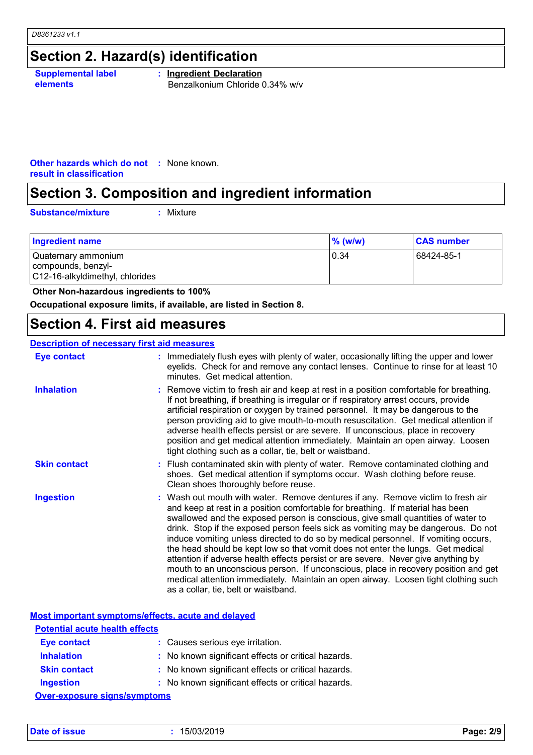## **Section 2. Hazard(s) identification**

**Supplemental label elements**

**: Ingredient Declaration** Benzalkonium Chloride 0.34% w/v

**Other hazards which do not :** None known. **result in classification**

## **Section 3. Composition and ingredient information**

**Substance/mixture :**

: Mixture

| 10.34<br>Quaternary ammonium<br>compounds, benzyl-<br>C12-16-alkyldimethyl, chlorides | 68424-85-1 |
|---------------------------------------------------------------------------------------|------------|

 **Other Non-hazardous ingredients to 100%**

**Occupational exposure limits, if available, are listed in Section 8.**

#### **Section 4. First aid measures**

#### **Description of necessary first aid measures**

| Eye contact         | : Immediately flush eyes with plenty of water, occasionally lifting the upper and lower<br>eyelids. Check for and remove any contact lenses. Continue to rinse for at least 10<br>minutes. Get medical attention.                                                                                                                                                                                                                                                                                                                                                                                                                                                                                                                                                                                                            |
|---------------------|------------------------------------------------------------------------------------------------------------------------------------------------------------------------------------------------------------------------------------------------------------------------------------------------------------------------------------------------------------------------------------------------------------------------------------------------------------------------------------------------------------------------------------------------------------------------------------------------------------------------------------------------------------------------------------------------------------------------------------------------------------------------------------------------------------------------------|
| <b>Inhalation</b>   | : Remove victim to fresh air and keep at rest in a position comfortable for breathing.<br>If not breathing, if breathing is irregular or if respiratory arrest occurs, provide<br>artificial respiration or oxygen by trained personnel. It may be dangerous to the<br>person providing aid to give mouth-to-mouth resuscitation. Get medical attention if<br>adverse health effects persist or are severe. If unconscious, place in recovery<br>position and get medical attention immediately. Maintain an open airway. Loosen<br>tight clothing such as a collar, tie, belt or waistband.                                                                                                                                                                                                                                 |
| <b>Skin contact</b> | : Flush contaminated skin with plenty of water. Remove contaminated clothing and<br>shoes. Get medical attention if symptoms occur. Wash clothing before reuse.<br>Clean shoes thoroughly before reuse.                                                                                                                                                                                                                                                                                                                                                                                                                                                                                                                                                                                                                      |
| <b>Ingestion</b>    | : Wash out mouth with water. Remove dentures if any. Remove victim to fresh air<br>and keep at rest in a position comfortable for breathing. If material has been<br>swallowed and the exposed person is conscious, give small quantities of water to<br>drink. Stop if the exposed person feels sick as vomiting may be dangerous. Do not<br>induce vomiting unless directed to do so by medical personnel. If vomiting occurs,<br>the head should be kept low so that vomit does not enter the lungs. Get medical<br>attention if adverse health effects persist or are severe. Never give anything by<br>mouth to an unconscious person. If unconscious, place in recovery position and get<br>medical attention immediately. Maintain an open airway. Loosen tight clothing such<br>as a collar, tie, belt or waistband. |

|                                       | Most important symptoms/effects, acute and delayed  |  |
|---------------------------------------|-----------------------------------------------------|--|
| <b>Potential acute health effects</b> |                                                     |  |
| <b>Eye contact</b>                    | : Causes serious eye irritation.                    |  |
| <b>Inhalation</b>                     | : No known significant effects or critical hazards. |  |
| <b>Skin contact</b>                   | : No known significant effects or critical hazards. |  |
| <b>Ingestion</b>                      | : No known significant effects or critical hazards. |  |
| <b>Over-exposure signs/symptoms</b>   |                                                     |  |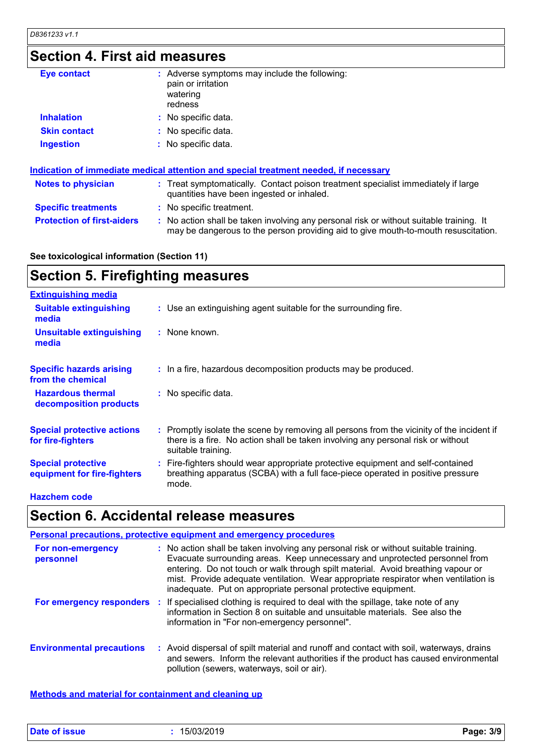## **Section 4. First aid measures**

| <b>Eye contact</b>                | : Adverse symptoms may include the following:<br>pain or irritation<br>watering<br>redness                                                                                    |
|-----------------------------------|-------------------------------------------------------------------------------------------------------------------------------------------------------------------------------|
| <b>Inhalation</b>                 | : No specific data.                                                                                                                                                           |
| <b>Skin contact</b>               | : No specific data.                                                                                                                                                           |
| <b>Ingestion</b>                  | : No specific data.                                                                                                                                                           |
|                                   | Indication of immediate medical attention and special treatment needed, if necessary                                                                                          |
| <b>Notes to physician</b>         | : Treat symptomatically. Contact poison treatment specialist immediately if large<br>quantities have been ingested or inhaled.                                                |
| <b>Specific treatments</b>        | : No specific treatment.                                                                                                                                                      |
| <b>Protection of first-aiders</b> | : No action shall be taken involving any personal risk or without suitable training. It<br>may be dangerous to the person providing aid to give mouth-to-mouth resuscitation. |

#### **See toxicological information (Section 11)**

#### **Section 5. Firefighting measures Extinguishing media**

| : Use an extinguishing agent suitable for the surrounding fire.                                                                                                                                     |
|-----------------------------------------------------------------------------------------------------------------------------------------------------------------------------------------------------|
| : None known.                                                                                                                                                                                       |
| : In a fire, hazardous decomposition products may be produced.                                                                                                                                      |
| : No specific data.                                                                                                                                                                                 |
| : Promptly isolate the scene by removing all persons from the vicinity of the incident if<br>there is a fire. No action shall be taken involving any personal risk or without<br>suitable training. |
| : Fire-fighters should wear appropriate protective equipment and self-contained<br>breathing apparatus (SCBA) with a full face-piece operated in positive pressure<br>mode.                         |
|                                                                                                                                                                                                     |

#### **Hazchem code**

#### **Section 6. Accidental release measures**

| <b>Personal precautions, protective equipment and emergency procedures</b> |  |                                                                                                                                                                                                                                                                                                                                                                                                                 |  |
|----------------------------------------------------------------------------|--|-----------------------------------------------------------------------------------------------------------------------------------------------------------------------------------------------------------------------------------------------------------------------------------------------------------------------------------------------------------------------------------------------------------------|--|
| For non-emergency<br>personnel                                             |  | : No action shall be taken involving any personal risk or without suitable training.<br>Evacuate surrounding areas. Keep unnecessary and unprotected personnel from<br>entering. Do not touch or walk through spilt material. Avoid breathing vapour or<br>mist. Provide adequate ventilation. Wear appropriate respirator when ventilation is<br>inadequate. Put on appropriate personal protective equipment. |  |
|                                                                            |  | For emergency responders : If specialised clothing is required to deal with the spillage, take note of any<br>information in Section 8 on suitable and unsuitable materials. See also the<br>information in "For non-emergency personnel".                                                                                                                                                                      |  |
| <b>Environmental precautions</b>                                           |  | : Avoid dispersal of spilt material and runoff and contact with soil, waterways, drains<br>and sewers. Inform the relevant authorities if the product has caused environmental<br>pollution (sewers, waterways, soil or air).                                                                                                                                                                                   |  |

**Methods and material for containment and cleaning up**

| Date of issue | 15/03/2019 | Page: 3/9 |
|---------------|------------|-----------|
|---------------|------------|-----------|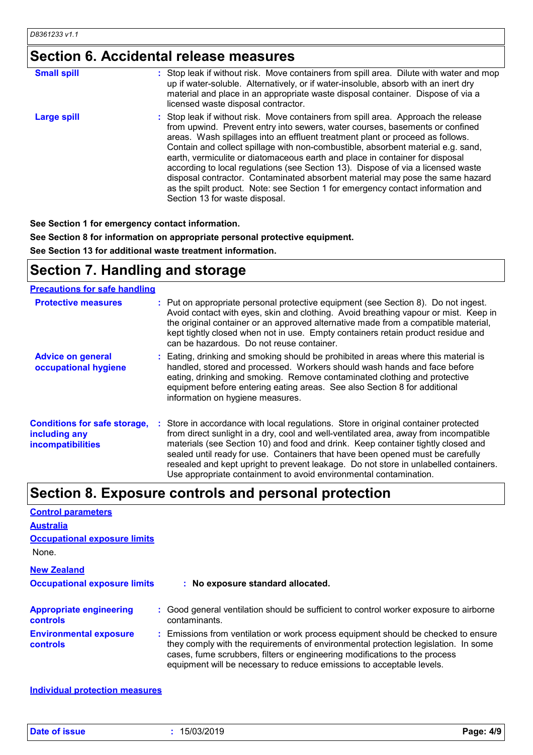## **Section 6. Accidental release measures**

| <b>Small spill</b> | : Stop leak if without risk. Move containers from spill area. Dilute with water and mop<br>up if water-soluble. Alternatively, or if water-insoluble, absorb with an inert dry<br>material and place in an appropriate waste disposal container. Dispose of via a<br>licensed waste disposal contractor.                                                                                                                                                                                                                                                                                                                                                                                                          |
|--------------------|-------------------------------------------------------------------------------------------------------------------------------------------------------------------------------------------------------------------------------------------------------------------------------------------------------------------------------------------------------------------------------------------------------------------------------------------------------------------------------------------------------------------------------------------------------------------------------------------------------------------------------------------------------------------------------------------------------------------|
| <b>Large spill</b> | : Stop leak if without risk. Move containers from spill area. Approach the release<br>from upwind. Prevent entry into sewers, water courses, basements or confined<br>areas. Wash spillages into an effluent treatment plant or proceed as follows.<br>Contain and collect spillage with non-combustible, absorbent material e.g. sand,<br>earth, vermiculite or diatomaceous earth and place in container for disposal<br>according to local regulations (see Section 13). Dispose of via a licensed waste<br>disposal contractor. Contaminated absorbent material may pose the same hazard<br>as the spilt product. Note: see Section 1 for emergency contact information and<br>Section 13 for waste disposal. |

**See Section 1 for emergency contact information.**

**See Section 8 for information on appropriate personal protective equipment.**

**See Section 13 for additional waste treatment information.**

## **Section 7. Handling and storage**

#### **Precautions for safe handling**

| <b>Protective measures</b>                                                       | : Put on appropriate personal protective equipment (see Section 8). Do not ingest.<br>Avoid contact with eyes, skin and clothing. Avoid breathing vapour or mist. Keep in<br>the original container or an approved alternative made from a compatible material,<br>kept tightly closed when not in use. Empty containers retain product residue and<br>can be hazardous. Do not reuse container.                                                                                                               |
|----------------------------------------------------------------------------------|----------------------------------------------------------------------------------------------------------------------------------------------------------------------------------------------------------------------------------------------------------------------------------------------------------------------------------------------------------------------------------------------------------------------------------------------------------------------------------------------------------------|
| <b>Advice on general</b><br>occupational hygiene                                 | : Eating, drinking and smoking should be prohibited in areas where this material is<br>handled, stored and processed. Workers should wash hands and face before<br>eating, drinking and smoking. Remove contaminated clothing and protective<br>equipment before entering eating areas. See also Section 8 for additional<br>information on hygiene measures.                                                                                                                                                  |
| <b>Conditions for safe storage,</b><br>including any<br><b>incompatibilities</b> | : Store in accordance with local regulations. Store in original container protected<br>from direct sunlight in a dry, cool and well-ventilated area, away from incompatible<br>materials (see Section 10) and food and drink. Keep container tightly closed and<br>sealed until ready for use. Containers that have been opened must be carefully<br>resealed and kept upright to prevent leakage. Do not store in unlabelled containers.<br>Use appropriate containment to avoid environmental contamination. |

## **Section 8. Exposure controls and personal protection**

| <b>Control parameters</b>                         |                                                                                                                                                                                                                                                                                                                                 |
|---------------------------------------------------|---------------------------------------------------------------------------------------------------------------------------------------------------------------------------------------------------------------------------------------------------------------------------------------------------------------------------------|
| <b>Australia</b>                                  |                                                                                                                                                                                                                                                                                                                                 |
| <b>Occupational exposure limits</b>               |                                                                                                                                                                                                                                                                                                                                 |
| None.                                             |                                                                                                                                                                                                                                                                                                                                 |
| <b>New Zealand</b>                                |                                                                                                                                                                                                                                                                                                                                 |
| <b>Occupational exposure limits</b>               | : No exposure standard allocated.                                                                                                                                                                                                                                                                                               |
| <b>Appropriate engineering</b><br><b>controls</b> | : Good general ventilation should be sufficient to control worker exposure to airborne<br>contaminants.                                                                                                                                                                                                                         |
| <b>Environmental exposure</b><br><b>controls</b>  | : Emissions from ventilation or work process equipment should be checked to ensure<br>they comply with the requirements of environmental protection legislation. In some<br>cases, fume scrubbers, filters or engineering modifications to the process<br>equipment will be necessary to reduce emissions to acceptable levels. |

**Individual protection measures**

**Date of issue :** 15/03/2019 **Page: 4/9**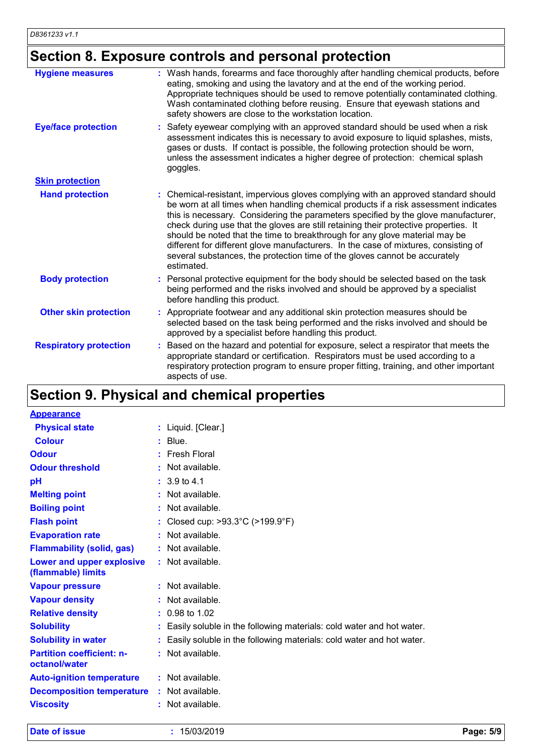## **Section 8. Exposure controls and personal protection**

| <b>Hygiene measures</b>       | : Wash hands, forearms and face thoroughly after handling chemical products, before<br>eating, smoking and using the lavatory and at the end of the working period.<br>Appropriate techniques should be used to remove potentially contaminated clothing.<br>Wash contaminated clothing before reusing. Ensure that eyewash stations and<br>safety showers are close to the workstation location.                                                                                                                                                                                                                         |
|-------------------------------|---------------------------------------------------------------------------------------------------------------------------------------------------------------------------------------------------------------------------------------------------------------------------------------------------------------------------------------------------------------------------------------------------------------------------------------------------------------------------------------------------------------------------------------------------------------------------------------------------------------------------|
| <b>Eye/face protection</b>    | Safety eyewear complying with an approved standard should be used when a risk<br>assessment indicates this is necessary to avoid exposure to liquid splashes, mists,<br>gases or dusts. If contact is possible, the following protection should be worn,<br>unless the assessment indicates a higher degree of protection: chemical splash<br>goggles.                                                                                                                                                                                                                                                                    |
| <b>Skin protection</b>        |                                                                                                                                                                                                                                                                                                                                                                                                                                                                                                                                                                                                                           |
| <b>Hand protection</b>        | : Chemical-resistant, impervious gloves complying with an approved standard should<br>be worn at all times when handling chemical products if a risk assessment indicates<br>this is necessary. Considering the parameters specified by the glove manufacturer,<br>check during use that the gloves are still retaining their protective properties. It<br>should be noted that the time to breakthrough for any glove material may be<br>different for different glove manufacturers. In the case of mixtures, consisting of<br>several substances, the protection time of the gloves cannot be accurately<br>estimated. |
| <b>Body protection</b>        | Personal protective equipment for the body should be selected based on the task<br>being performed and the risks involved and should be approved by a specialist<br>before handling this product.                                                                                                                                                                                                                                                                                                                                                                                                                         |
| <b>Other skin protection</b>  | : Appropriate footwear and any additional skin protection measures should be<br>selected based on the task being performed and the risks involved and should be<br>approved by a specialist before handling this product.                                                                                                                                                                                                                                                                                                                                                                                                 |
| <b>Respiratory protection</b> | Based on the hazard and potential for exposure, select a respirator that meets the<br>appropriate standard or certification. Respirators must be used according to a<br>respiratory protection program to ensure proper fitting, training, and other important<br>aspects of use.                                                                                                                                                                                                                                                                                                                                         |

## **Section 9. Physical and chemical properties**

| <b>Appearance</b>                                 |                                                                        |
|---------------------------------------------------|------------------------------------------------------------------------|
| <b>Physical state</b>                             | : Liquid. [Clear.]                                                     |
| <b>Colour</b>                                     | $:$ Blue.                                                              |
| <b>Odour</b>                                      | $:$ Fresh Floral                                                       |
| <b>Odour threshold</b>                            | $\cdot$ Not available.                                                 |
| pH                                                | $: 3.9 \text{ to } 4.1$                                                |
| <b>Melting point</b>                              | $:$ Not available.                                                     |
| <b>Boiling point</b>                              | $:$ Not available.                                                     |
| <b>Flash point</b>                                | : Closed cup: $>93.3^{\circ}$ C ( $>199.9^{\circ}$ F)                  |
| <b>Evaporation rate</b>                           | $:$ Not available.                                                     |
| <b>Flammability (solid, gas)</b>                  | : Not available.                                                       |
| Lower and upper explosive<br>(flammable) limits   | : Not available.                                                       |
| <b>Vapour pressure</b>                            | $:$ Not available.                                                     |
| <b>Vapour density</b>                             | $:$ Not available.                                                     |
| <b>Relative density</b>                           | $: 0.98$ to 1.02                                                       |
| <b>Solubility</b>                                 | : Easily soluble in the following materials: cold water and hot water. |
| <b>Solubility in water</b>                        | : Easily soluble in the following materials: cold water and hot water. |
| <b>Partition coefficient: n-</b><br>octanol/water | $:$ Not available.                                                     |
| <b>Auto-ignition temperature</b>                  | $:$ Not available.                                                     |
| <b>Decomposition temperature</b>                  | $:$ Not available.                                                     |
| <b>Viscosity</b>                                  | Not available.                                                         |

**Date of issue :** 15/03/2019 **Page: 5/9**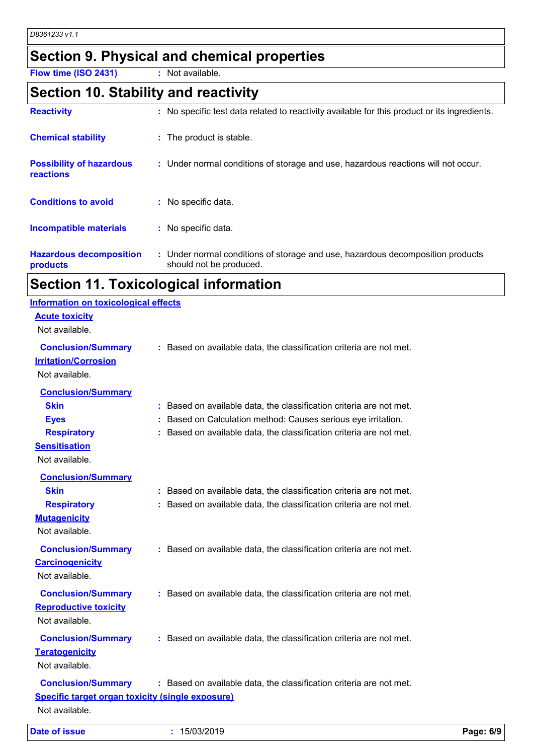## **Section 9. Physical and chemical properties**

**Flow time (ISO 2431) :** Not available.

#### **Section 10. Stability and reactivity**

| <b>Reactivity</b>                            | : No specific test data related to reactivity available for this product or its ingredients.              |
|----------------------------------------------|-----------------------------------------------------------------------------------------------------------|
| <b>Chemical stability</b>                    | : The product is stable.                                                                                  |
| <b>Possibility of hazardous</b><br>reactions | : Under normal conditions of storage and use, hazardous reactions will not occur.                         |
| <b>Conditions to avoid</b>                   | : No specific data.                                                                                       |
| Incompatible materials                       | : No specific data.                                                                                       |
| <b>Hazardous decomposition</b><br>products   | : Under normal conditions of storage and use, hazardous decomposition products<br>should not be produced. |

## **Section 11. Toxicological information**

| <b>Date of issue</b>                                                                                                    | : 15/03/2019                                                                                                                                                                                                | Page: 6/9 |
|-------------------------------------------------------------------------------------------------------------------------|-------------------------------------------------------------------------------------------------------------------------------------------------------------------------------------------------------------|-----------|
| <b>Conclusion/Summary</b><br><b>Specific target organ toxicity (single exposure)</b><br>Not available.                  | : Based on available data, the classification criteria are not met.                                                                                                                                         |           |
| <b>Conclusion/Summary</b><br><b>Teratogenicity</b><br>Not available.                                                    | : Based on available data, the classification criteria are not met.                                                                                                                                         |           |
| <b>Conclusion/Summary</b><br><b>Reproductive toxicity</b><br>Not available.                                             | : Based on available data, the classification criteria are not met.                                                                                                                                         |           |
| <b>Conclusion/Summary</b><br><b>Carcinogenicity</b><br>Not available.                                                   | : Based on available data, the classification criteria are not met.                                                                                                                                         |           |
| <b>Conclusion/Summary</b><br><b>Skin</b><br><b>Respiratory</b><br><b>Mutagenicity</b><br>Not available.                 | : Based on available data, the classification criteria are not met.<br>: Based on available data, the classification criteria are not met.                                                                  |           |
| <b>Conclusion/Summary</b><br><b>Skin</b><br><b>Eyes</b><br><b>Respiratory</b><br><b>Sensitisation</b><br>Not available. | : Based on available data, the classification criteria are not met.<br>: Based on Calculation method: Causes serious eye irritation.<br>: Based on available data, the classification criteria are not met. |           |
| <b>Conclusion/Summary</b><br><b>Irritation/Corrosion</b><br>Not available.                                              | : Based on available data, the classification criteria are not met.                                                                                                                                         |           |
| <b>Information on toxicological effects</b><br><b>Acute toxicity</b><br>Not available.                                  |                                                                                                                                                                                                             |           |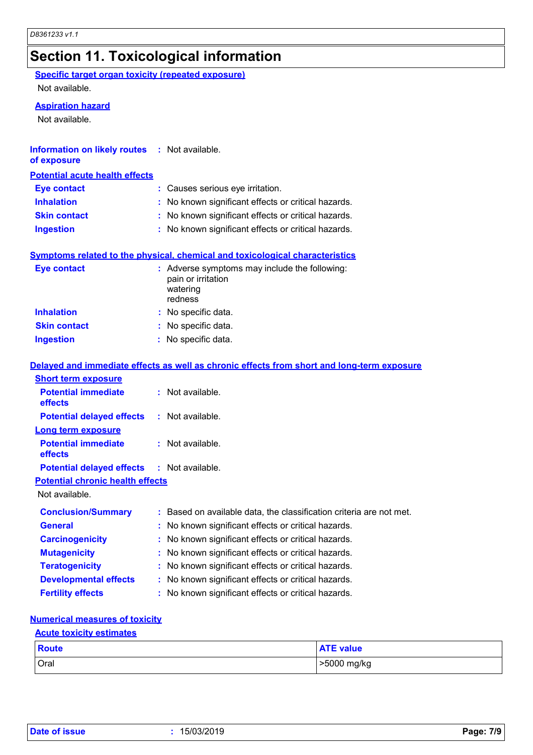## **Section 11. Toxicological information**

**Specific target organ toxicity (repeated exposure)**

Not available.

#### **Aspiration hazard**

Not available.

| <b>Information on likely routes : Not available.</b><br>of exposure |                                                     |
|---------------------------------------------------------------------|-----------------------------------------------------|
| <b>Potential acute health effects</b>                               |                                                     |
| <b>Eye contact</b>                                                  | : Causes serious eye irritation.                    |
| <b>Inhalation</b>                                                   | : No known significant effects or critical hazards. |
| <b>Skin contact</b>                                                 | : No known significant effects or critical hazards. |
| <b>Ingestion</b>                                                    | : No known significant effects or critical hazards. |

#### **Symptoms related to the physical, chemical and toxicological characteristics**

| <b>Eye contact</b>  | : Adverse symptoms may include the following:<br>pain or irritation<br>watering<br>redness |
|---------------------|--------------------------------------------------------------------------------------------|
| <b>Inhalation</b>   | : No specific data.                                                                        |
| <b>Skin contact</b> | : No specific data.                                                                        |
| <b>Ingestion</b>    | : No specific data.                                                                        |

#### **Delayed and immediate effects as well as chronic effects from short and long-term exposure**

| <b>Short term exposure</b>                        |                                                                     |
|---------------------------------------------------|---------------------------------------------------------------------|
| <b>Potential immediate</b><br><b>effects</b>      | $:$ Not available.                                                  |
| <b>Potential delayed effects</b>                  | : Not available.                                                    |
| Long term exposure                                |                                                                     |
| <b>Potential immediate</b><br>effects             | $:$ Not available.                                                  |
| <b>Potential delayed effects : Not available.</b> |                                                                     |
| <b>Potential chronic health effects</b>           |                                                                     |
| Not available.                                    |                                                                     |
| <b>Conclusion/Summary</b>                         | : Based on available data, the classification criteria are not met. |
| <b>General</b>                                    | : No known significant effects or critical hazards.                 |
| <b>Carcinogenicity</b>                            | : No known significant effects or critical hazards.                 |
| <b>Mutagenicity</b>                               | : No known significant effects or critical hazards.                 |
| <b>Teratogenicity</b>                             | : No known significant effects or critical hazards.                 |
| <b>Developmental effects</b>                      | : No known significant effects or critical hazards.                 |
| <b>Fertility effects</b>                          | : No known significant effects or critical hazards.                 |

#### **Numerical measures of toxicity**

#### **Acute toxicity estimates**

| Route | <b>ATE value</b> |
|-------|------------------|
| Oral  | >5000 mg/kg      |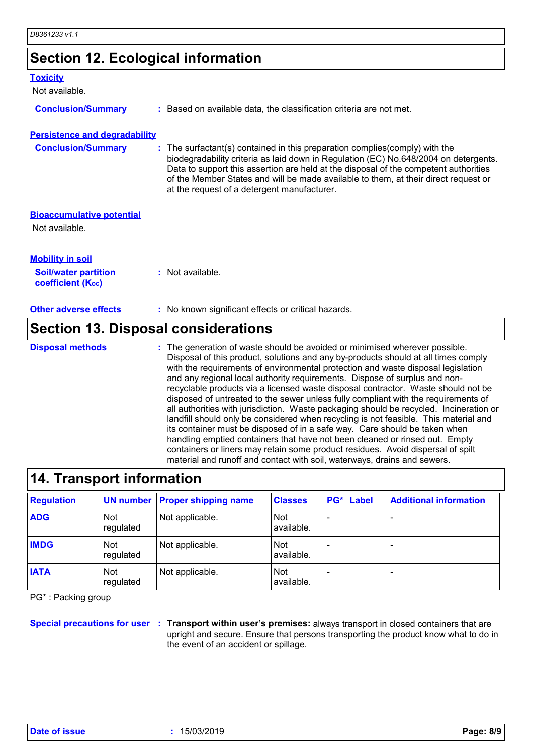## **Section 12. Ecological information**

| : Based on available data, the classification criteria are not met.                                                                                                                                                                                                                                                                                                                                |
|----------------------------------------------------------------------------------------------------------------------------------------------------------------------------------------------------------------------------------------------------------------------------------------------------------------------------------------------------------------------------------------------------|
| <b>Persistence and degradability</b>                                                                                                                                                                                                                                                                                                                                                               |
| : The surfactant(s) contained in this preparation complies (comply) with the<br>biodegradability criteria as laid down in Regulation (EC) No.648/2004 on detergents.<br>Data to support this assertion are held at the disposal of the competent authorities<br>of the Member States and will be made available to them, at their direct request or<br>at the request of a detergent manufacturer. |
|                                                                                                                                                                                                                                                                                                                                                                                                    |
|                                                                                                                                                                                                                                                                                                                                                                                                    |
|                                                                                                                                                                                                                                                                                                                                                                                                    |
| : Not available.                                                                                                                                                                                                                                                                                                                                                                                   |
| : No known significant effects or critical hazards.                                                                                                                                                                                                                                                                                                                                                |
|                                                                                                                                                                                                                                                                                                                                                                                                    |

#### **Section 13. Disposal considerations**

**Disposal methods :**

The generation of waste should be avoided or minimised wherever possible. Disposal of this product, solutions and any by-products should at all times comply with the requirements of environmental protection and waste disposal legislation and any regional local authority requirements. Dispose of surplus and nonrecyclable products via a licensed waste disposal contractor. Waste should not be disposed of untreated to the sewer unless fully compliant with the requirements of all authorities with jurisdiction. Waste packaging should be recycled. Incineration or landfill should only be considered when recycling is not feasible. This material and its container must be disposed of in a safe way. Care should be taken when handling emptied containers that have not been cleaned or rinsed out. Empty containers or liners may retain some product residues. Avoid dispersal of spilt material and runoff and contact with soil, waterways, drains and sewers.

| 14. Transport information |                         |                                       |                          |     |              |                               |  |
|---------------------------|-------------------------|---------------------------------------|--------------------------|-----|--------------|-------------------------------|--|
| <b>Regulation</b>         |                         | <b>UN number Proper shipping name</b> | <b>Classes</b>           | PG* | <b>Label</b> | <b>Additional information</b> |  |
| <b>ADG</b>                | <b>Not</b><br>regulated | Not applicable.                       | <b>Not</b><br>available. |     |              |                               |  |
| <b>IMDG</b>               | <b>Not</b><br>regulated | Not applicable.                       | <b>Not</b><br>available. |     |              |                               |  |
| <b>IATA</b>               | <b>Not</b><br>regulated | Not applicable.                       | <b>Not</b><br>available. |     |              |                               |  |

PG\* : Packing group

**Special precautions for user Transport within user's premises:** always transport in closed containers that are **:** upright and secure. Ensure that persons transporting the product know what to do in the event of an accident or spillage.